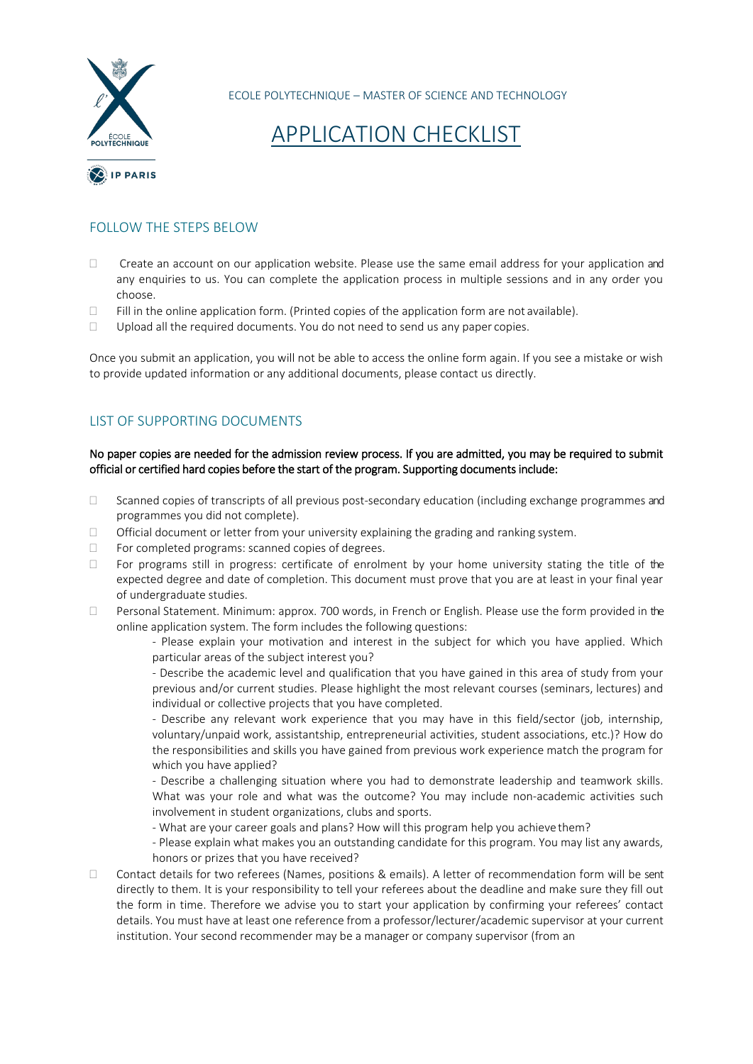

ECOLE POLYTECHNIQUE – MASTER OF SCIENCE AND TECHNOLOGY

# APPLICATION CHECKLIST

### FOLLOW THE STEPS BELOW

- Create an account on our application website. Please use the same email address for your application and any enquiries to us. You can complete the application process in multiple sessions and in any order you choose.
- $\Box$  Fill in the online application form. (Printed copies of the application form are not available).
- $\Box$  Upload all the required documents. You do not need to send us any paper copies.

Once you submit an application, you will not be able to access the online form again. If you see a mistake or wish to provide updated information or any additional documents, please contact us directly.

# LIST OF SUPPORTING DOCUMENTS

#### No paper copies are needed for the admission review process. If you are admitted, you may be required to submit official or certified hard copies before the start of the program. Supporting documents include:

- □ Scanned copies of transcripts of all previous post-secondary education (including exchange programmes and programmes you did not complete).
- Official document or letter from your university explaining the grading and ranking system.
- $\Box$  For completed programs: scanned copies of degrees.
- $\Box$  For programs still in progress: certificate of enrolment by your home university stating the title of the expected degree and date of completion. This document must prove that you are at least in your final year of undergraduate studies.
- Personal Statement. Minimum: approx. 700 words, in French or English. Please use the form provided in the online application system. The form includes the following questions:

- Please explain your motivation and interest in the subject for which you have applied. Which particular areas of the subject interest you?

- Describe the academic level and qualification that you have gained in this area of study from your previous and/or current studies. Please highlight the most relevant courses (seminars, lectures) and individual or collective projects that you have completed.

- Describe any relevant work experience that you may have in this field/sector (job, internship, voluntary/unpaid work, assistantship, entrepreneurial activities, student associations, etc.)? How do the responsibilities and skills you have gained from previous work experience match the program for which you have applied?

- Describe a challenging situation where you had to demonstrate leadership and teamwork skills. What was your role and what was the outcome? You may include non-academic activities such involvement in student organizations, clubs and sports.

- What are your career goals and plans? How will this program help you achieve them?

- Please explain what makes you an outstanding candidate for this program. You may list any awards, honors or prizes that you have received?

□ Contact details for two referees (Names, positions & emails). A letter of recommendation form will be sent directly to them. It is your responsibility to tell your referees about the deadline and make sure they fill out the form in time. Therefore we advise you to start your application by confirming your referees' contact details. You must have at least one reference from a professor/lecturer/academic supervisor at your current institution. Your second recommender may be a manager or company supervisor (from an